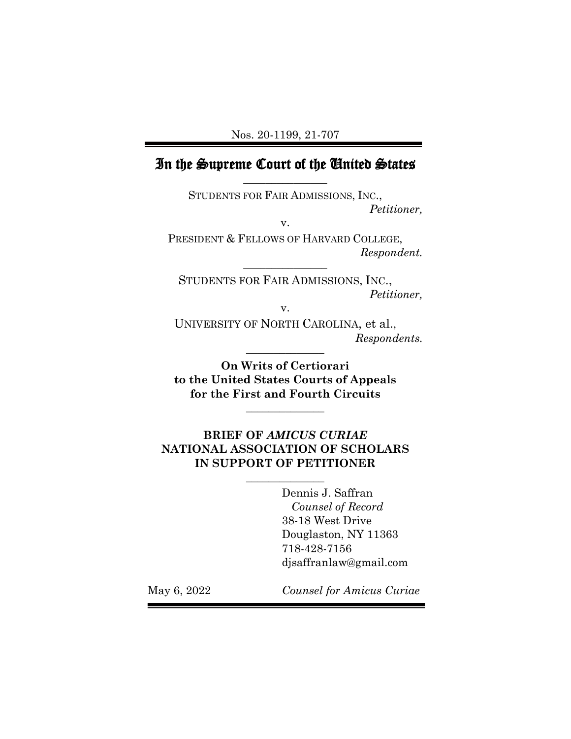## In the Supreme Court of the United States **\_\_\_\_\_\_\_\_\_\_\_\_\_\_\_**

STUDENTS FOR FAIR ADMISSIONS, INC., *Petitioner,*

v.

PRESIDENT & FELLOWS OF HARVARD COLLEGE, *Respondent.* **\_\_\_\_\_\_\_\_\_\_\_\_\_\_\_**

STUDENTS FOR FAIR ADMISSIONS, INC., *Petitioner,*

v.

UNIVERSITY OF NORTH CAROLINA, et al.,  $Response$ *Respondents.* 

**On Writs of Certiorari to the United States Courts of Appeals for the First and Fourth Circuits**

**\_\_\_\_\_\_\_\_\_\_\_\_\_\_** 

## **BRIEF OF** *AMICUS CURIAE* **NATIONAL ASSOCIATION OF SCHOLARS IN SUPPORT OF PETITIONER**

**\_\_\_\_\_\_\_\_\_\_\_\_\_\_** 

Dennis J. Saffran *Counsel of Record* 38-18 West Drive Douglaston, NY 11363 718-428-7156 djsaffranlaw@gmail.com

May 6, 2022 *Counsel for Amicus Curiae*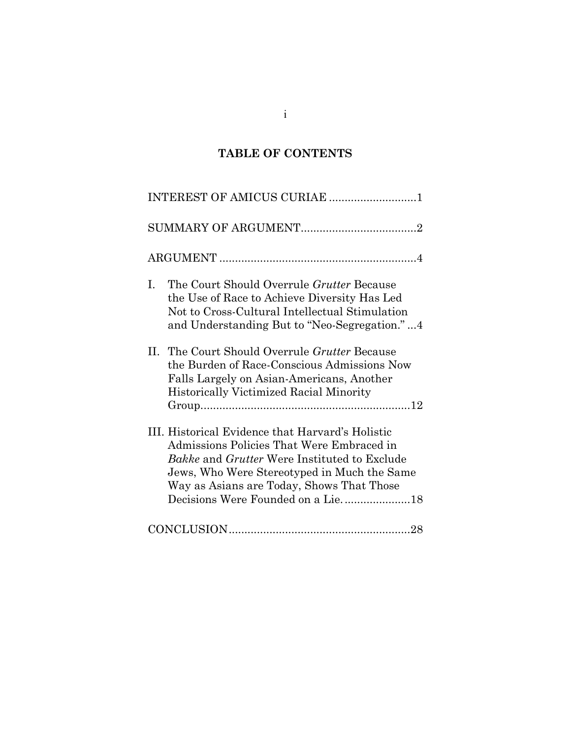# **TABLE OF CONTENTS**

| INTEREST OF AMICUS CURIAE 1                                                                                                                                                                                                                             |
|---------------------------------------------------------------------------------------------------------------------------------------------------------------------------------------------------------------------------------------------------------|
|                                                                                                                                                                                                                                                         |
|                                                                                                                                                                                                                                                         |
| Ι.<br>The Court Should Overrule <i>Grutter</i> Because<br>the Use of Race to Achieve Diversity Has Led<br>Not to Cross-Cultural Intellectual Stimulation<br>and Understanding But to "Neo-Segregation."4                                                |
| The Court Should Overrule Grutter Because<br>$\Pi$ .<br>the Burden of Race-Conscious Admissions Now<br>Falls Largely on Asian-Americans, Another<br>Historically Victimized Racial Minority                                                             |
| III. Historical Evidence that Harvard's Holistic<br>Admissions Policies That Were Embraced in<br><i>Bakke</i> and <i>Grutter</i> Were Instituted to Exclude<br>Jews, Who Were Stereotyped in Much the Same<br>Way as Asians are Today, Shows That Those |
|                                                                                                                                                                                                                                                         |

i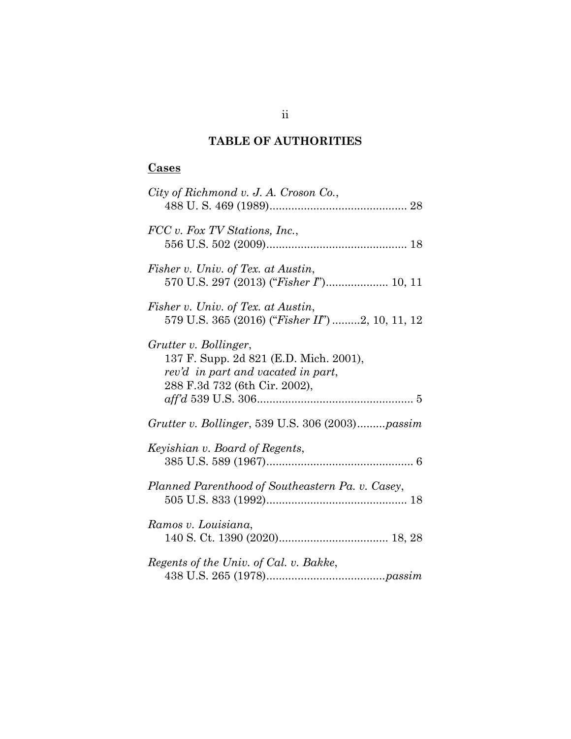## **TABLE OF AUTHORITIES**

# **Cases**

| City of Richmond v. J. A. Croson Co.,                                                                                                  |
|----------------------------------------------------------------------------------------------------------------------------------------|
| FCC v. Fox TV Stations, Inc.,                                                                                                          |
| Fisher v. Univ. of Tex. at Austin,<br>570 U.S. 297 (2013) ("Fisher I") 10, 11                                                          |
| Fisher v. Univ. of Tex. at Austin,<br>579 U.S. 365 (2016) ("Fisher II") 2, 10, 11, 12                                                  |
| Grutter v. Bollinger,<br>137 F. Supp. 2d 821 (E.D. Mich. 2001),<br>rev'd in part and vacated in part,<br>288 F.3d 732 (6th Cir. 2002), |
| Grutter v. Bollinger, 539 U.S. 306 (2003)passim                                                                                        |
| Keyishian v. Board of Regents,                                                                                                         |
| Planned Parenthood of Southeastern Pa. v. Casey,                                                                                       |
| Ramos v. Louisiana,                                                                                                                    |
| Regents of the Univ. of Cal. v. Bakke,                                                                                                 |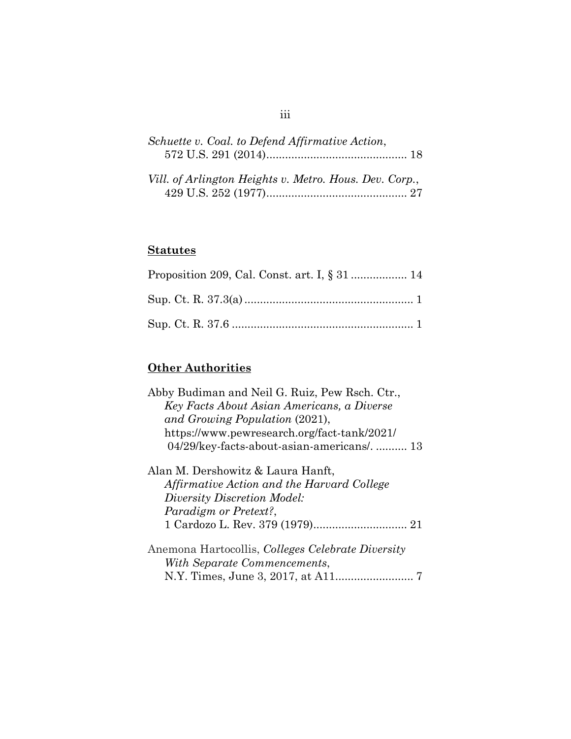| Schuette v. Coal. to Defend Affirmative Action,        |  |
|--------------------------------------------------------|--|
|                                                        |  |
| Vill. of Arlington Heights v. Metro. Hous. Dev. Corp., |  |

## **Statutes**

# **Other Authorities**

| Abby Budiman and Neil G. Ruiz, Pew Rsch. Ctr.,           |
|----------------------------------------------------------|
| Key Facts About Asian Americans, a Diverse               |
| and Growing Population (2021),                           |
| https://www.pewresearch.org/fact-tank/2021/              |
| 04/29/key-facts-about-asian-americans/ 13                |
| Alan M. Dershowitz & Laura Hanft,                        |
| Affirmative Action and the Harvard College               |
| Diversity Discretion Model:                              |
| Paradigm or Pretext?,                                    |
|                                                          |
| Anemona Hartocollis, <i>Colleges Celebrate Diversity</i> |
| With Separate Commencements,                             |
|                                                          |
|                                                          |

# iii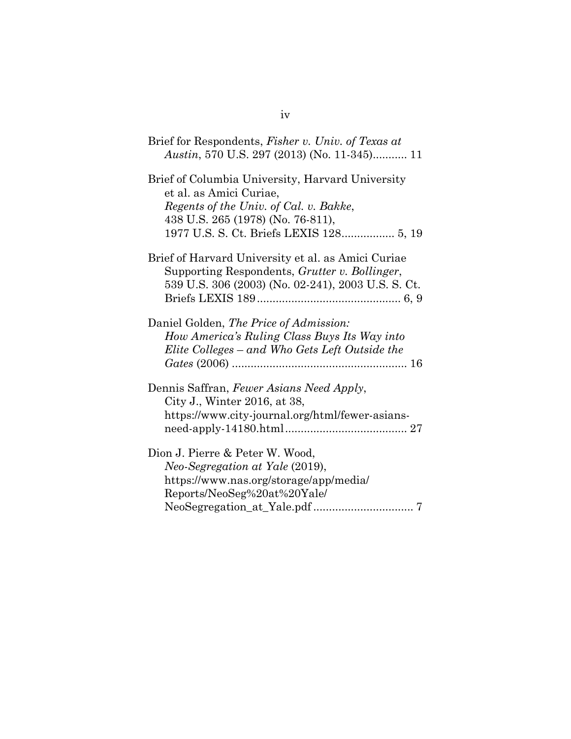| Brief for Respondents, <i>Fisher v. Univ.</i> of Texas at<br>Austin, 570 U.S. 297 (2013) (No. 11-345) 11                                                                                              |
|-------------------------------------------------------------------------------------------------------------------------------------------------------------------------------------------------------|
| Brief of Columbia University, Harvard University<br>et al. as Amici Curiae,<br>Regents of the Univ. of Cal. v. Bakke,<br>438 U.S. 265 (1978) (No. 76-811),<br>1977 U.S. S. Ct. Briefs LEXIS 128 5, 19 |
| Brief of Harvard University et al. as Amici Curiae<br>Supporting Respondents, Grutter v. Bollinger,<br>539 U.S. 306 (2003) (No. 02-241), 2003 U.S. S. Ct.                                             |
| Daniel Golden, The Price of Admission:<br>How America's Ruling Class Buys Its Way into<br>Elite Colleges – and Who Gets Left Outside the                                                              |
| Dennis Saffran, Fewer Asians Need Apply,<br>City J., Winter 2016, at 38,<br>https://www.city-journal.org/html/fewer-asians-                                                                           |
| Dion J. Pierre & Peter W. Wood,<br>Neo-Segregation at Yale (2019),<br>https://www.nas.org/storage/app/media/<br>Reports/NeoSeg%20at%20Yale/                                                           |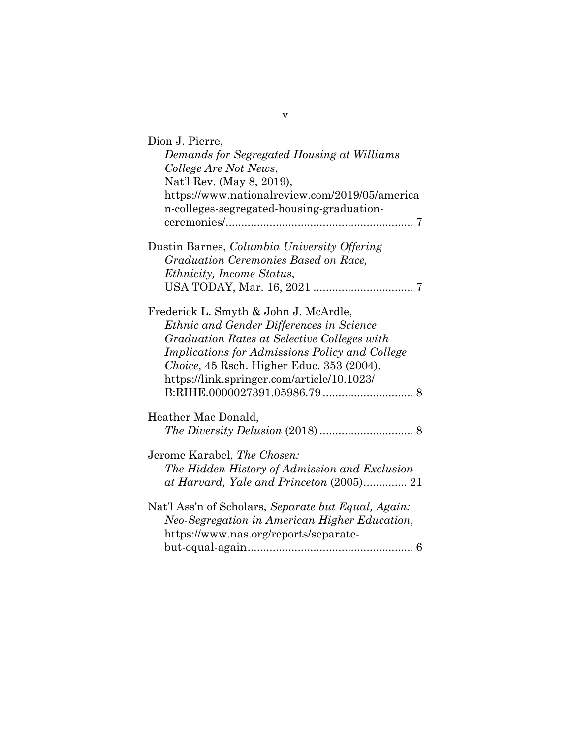| Dion J. Pierre,<br>Demands for Segregated Housing at Williams<br>College Are Not News,<br>Nat'l Rev. (May 8, 2019),<br>https://www.nationalreview.com/2019/05/america<br>n-colleges-segregated-housing-graduation-                                                                   |
|--------------------------------------------------------------------------------------------------------------------------------------------------------------------------------------------------------------------------------------------------------------------------------------|
| Dustin Barnes, Columbia University Offering<br>Graduation Ceremonies Based on Race,<br><i>Ethnicity, Income Status,</i>                                                                                                                                                              |
| Frederick L. Smyth & John J. McArdle,<br>Ethnic and Gender Differences in Science<br>Graduation Rates at Selective Colleges with<br><i>Implications for Admissions Policy and College</i><br>Choice, 45 Rsch. Higher Educ. 353 (2004),<br>https://link.springer.com/article/10.1023/ |
| Heather Mac Donald,                                                                                                                                                                                                                                                                  |
| Jerome Karabel, The Chosen:<br>The Hidden History of Admission and Exclusion<br>at Harvard, Yale and Princeton (2005) 21                                                                                                                                                             |
| Nat'l Ass'n of Scholars, Separate but Equal, Again:<br>Neo-Segregation in American Higher Education,<br>https://www.nas.org/reports/separate-                                                                                                                                        |

v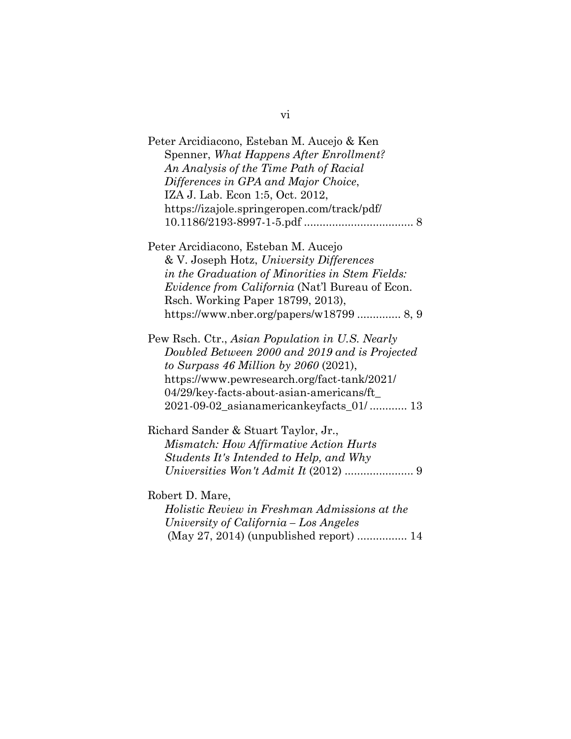| Peter Arcidiacono, Esteban M. Aucejo & Ken                                                                                                                                                                                              |
|-----------------------------------------------------------------------------------------------------------------------------------------------------------------------------------------------------------------------------------------|
| Spenner, What Happens After Enrollment?                                                                                                                                                                                                 |
| An Analysis of the Time Path of Racial                                                                                                                                                                                                  |
| Differences in GPA and Major Choice,                                                                                                                                                                                                    |
| IZA J. Lab. Econ 1:5, Oct. 2012,                                                                                                                                                                                                        |
| https://izajole.springeropen.com/track/pdf/                                                                                                                                                                                             |
|                                                                                                                                                                                                                                         |
| Peter Arcidiacono, Esteban M. Aucejo                                                                                                                                                                                                    |
| & V. Joseph Hotz, University Differences                                                                                                                                                                                                |
| in the Graduation of Minorities in Stem Fields:                                                                                                                                                                                         |
| <i>Evidence from California</i> (Nat'l Bureau of Econ.                                                                                                                                                                                  |
| Rsch. Working Paper 18799, 2013),                                                                                                                                                                                                       |
| https://www.nber.org/papers/w18799  8, 9                                                                                                                                                                                                |
| Pew Rsch. Ctr., Asian Population in U.S. Nearly<br>Doubled Between 2000 and 2019 and is Projected<br>to Surpass 46 Million by $2060$ (2021),<br>https://www.pewresearch.org/fact-tank/2021/<br>04/29/key-facts-about-asian-americans/ft |
| 2021-09-02_asianamericankeyfacts_01/ 13                                                                                                                                                                                                 |
| Richard Sander & Stuart Taylor, Jr.,                                                                                                                                                                                                    |
| Mismatch: How Affirmative Action Hurts                                                                                                                                                                                                  |
| Students It's Intended to Help, and Why                                                                                                                                                                                                 |
|                                                                                                                                                                                                                                         |
| Robert D. Mare,                                                                                                                                                                                                                         |
| Holistic Review in Freshman Admissions at the                                                                                                                                                                                           |
| University of California - Los Angeles                                                                                                                                                                                                  |
| (May 27, 2014) (unpublished report)  14                                                                                                                                                                                                 |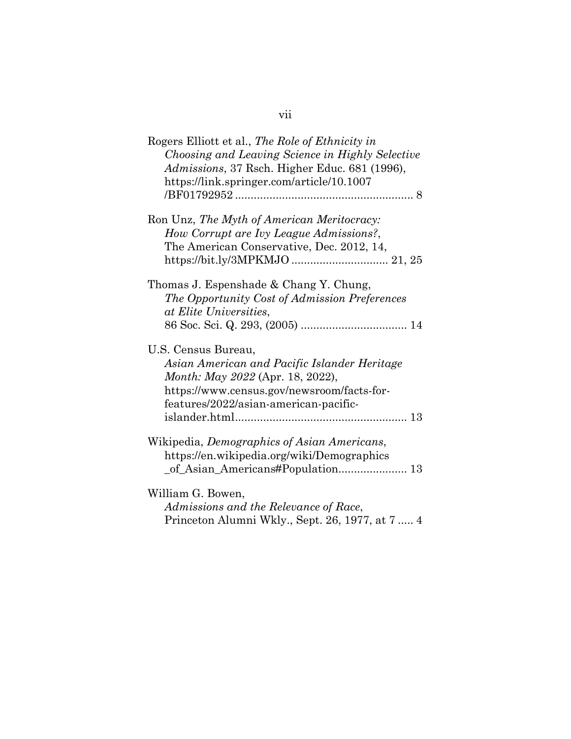| Rogers Elliott et al., The Role of Ethnicity in<br>Choosing and Leaving Science in Highly Selective<br>Admissions, 37 Rsch. Higher Educ. 681 (1996),<br>https://link.springer.com/article/10.1007 |
|---------------------------------------------------------------------------------------------------------------------------------------------------------------------------------------------------|
| Ron Unz, The Myth of American Meritocracy:<br>How Corrupt are Ivy League Admissions?,<br>The American Conservative, Dec. 2012, 14,<br>https://bit.ly/3MPKMJO  21, 25                              |
| Thomas J. Espenshade & Chang Y. Chung,<br>The Opportunity Cost of Admission Preferences<br>at Elite Universities,                                                                                 |
| U.S. Census Bureau,<br>Asian American and Pacific Islander Heritage<br>Month: May 2022 (Apr. 18, 2022),<br>https://www.census.gov/newsroom/facts-for-<br>features/2022/asian-american-pacific-    |
| Wikipedia, Demographics of Asian Americans,<br>https://en.wikipedia.org/wiki/Demographics                                                                                                         |
| William G. Bowen,<br>Admissions and the Relevance of Race,<br>Princeton Alumni Wkly., Sept. 26, 1977, at 7  4                                                                                     |

# vii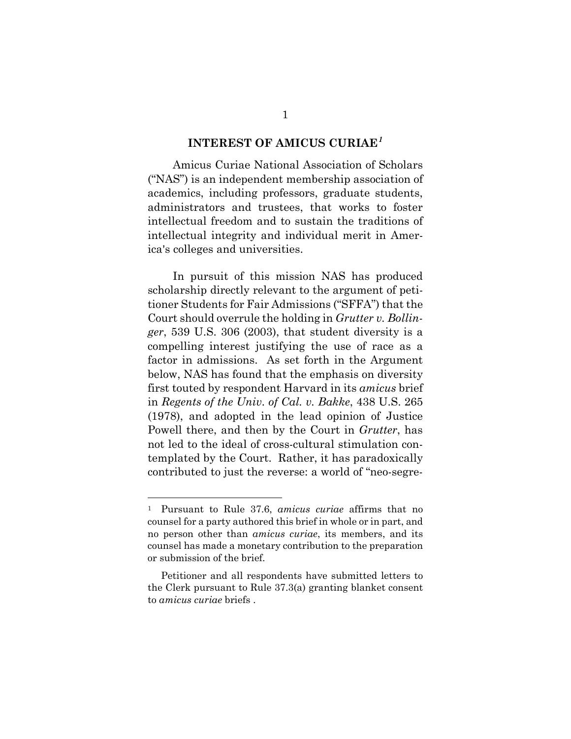### **INTEREST OF AMICUS CURIAE***[1](#page-8-1)*

<span id="page-8-0"></span>Amicus Curiae National Association of Scholars ("NAS") is an independent membership association of academics, including professors, graduate students, administrators and trustees, that works to foster intellectual freedom and to sustain the traditions of intellectual integrity and individual merit in America's colleges and universities.

In pursuit of this mission NAS has produced scholarship directly relevant to the argument of petitioner Students for Fair Admissions ("SFFA") that the Court should overrule the holding in *Grutter v. Bollinger*, 539 U.S. 306 (2003), that student diversity is a compelling interest justifying the use of race as a factor in admissions. As set forth in the Argument below, NAS has found that the emphasis on diversity first touted by respondent Harvard in its *amicus* brief in *Regents of the Univ. of Cal. v. Bakke*, 438 U.S. 265 (1978), and adopted in the lead opinion of Justice Powell there, and then by the Court in *Grutter*, has not led to the ideal of cross-cultural stimulation contemplated by the Court. Rather, it has paradoxically contributed to just the reverse: a world of "neo-segre-

<span id="page-8-1"></span><sup>1</sup> Pursuant to Rule 37.6, *amicus curiae* affirms that no counsel for a party authored this brief in whole or in part, and no person other than *amicus curiae*, its members, and its counsel has made a monetary contribution to the preparation or submission of the brief.

Petitioner and all respondents have submitted letters to the Clerk pursuant to Rule 37.3(a) granting blanket consent to *amicus curiae* briefs .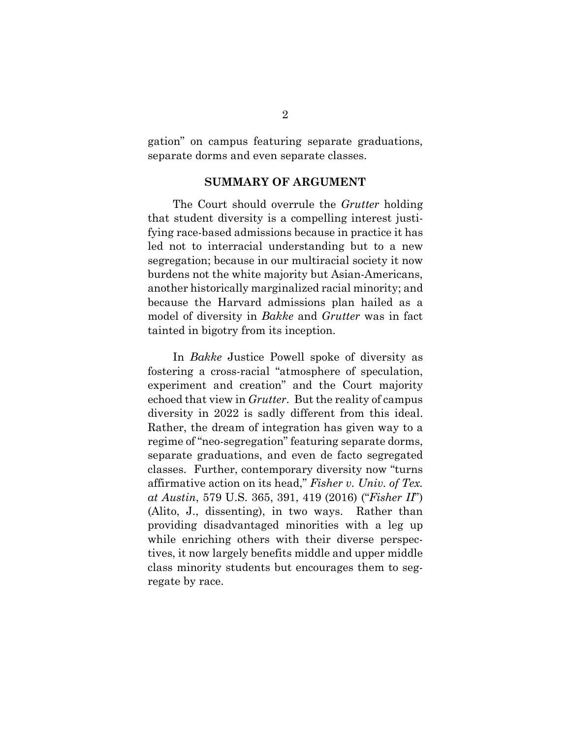gation" on campus featuring separate graduations, separate dorms and even separate classes.

### **SUMMARY OF ARGUMENT**

<span id="page-9-0"></span>The Court should overrule the *Grutter* holding that student diversity is a compelling interest justifying race-based admissions because in practice it has led not to interracial understanding but to a new segregation; because in our multiracial society it now burdens not the white majority but Asian-Americans, another historically marginalized racial minority; and because the Harvard admissions plan hailed as a model of diversity in *Bakke* and *Grutter* was in fact tainted in bigotry from its inception.

In *Bakke* Justice Powell spoke of diversity as fostering a cross-racial "atmosphere of speculation, experiment and creation" and the Court majority echoed that view in *Grutter*. But the reality of campus diversity in 2022 is sadly different from this ideal. Rather, the dream of integration has given way to a regime of "neo-segregation" featuring separate dorms, separate graduations, and even de facto segregated classes. Further, contemporary diversity now "turns affirmative action on its head," *Fisher v. Univ. of Tex. at Austin*, 579 U.S. 365, 391, 419 (2016) ("*Fisher II*") (Alito, J., dissenting), in two ways. Rather than providing disadvantaged minorities with a leg up while enriching others with their diverse perspectives, it now largely benefits middle and upper middle class minority students but encourages them to segregate by race.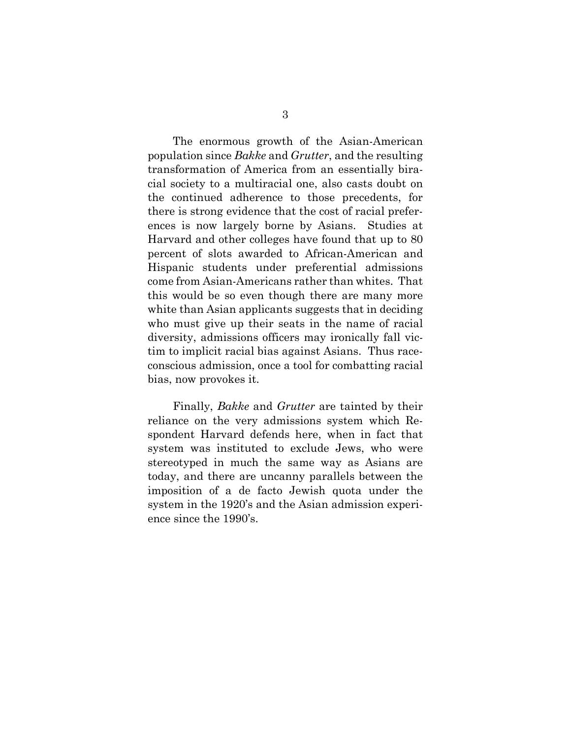The enormous growth of the Asian-American population since *Bakke* and *Grutter*, and the resulting transformation of America from an essentially biracial society to a multiracial one, also casts doubt on the continued adherence to those precedents, for there is strong evidence that the cost of racial preferences is now largely borne by Asians. Studies at Harvard and other colleges have found that up to 80 percent of slots awarded to African-American and Hispanic students under preferential admissions come from Asian-Americans rather than whites. That this would be so even though there are many more white than Asian applicants suggests that in deciding who must give up their seats in the name of racial diversity, admissions officers may ironically fall victim to implicit racial bias against Asians. Thus raceconscious admission, once a tool for combatting racial bias, now provokes it.

Finally, *Bakke* and *Grutter* are tainted by their reliance on the very admissions system which Respondent Harvard defends here, when in fact that system was instituted to exclude Jews, who were stereotyped in much the same way as Asians are today, and there are uncanny parallels between the imposition of a de facto Jewish quota under the system in the 1920's and the Asian admission experience since the 1990's.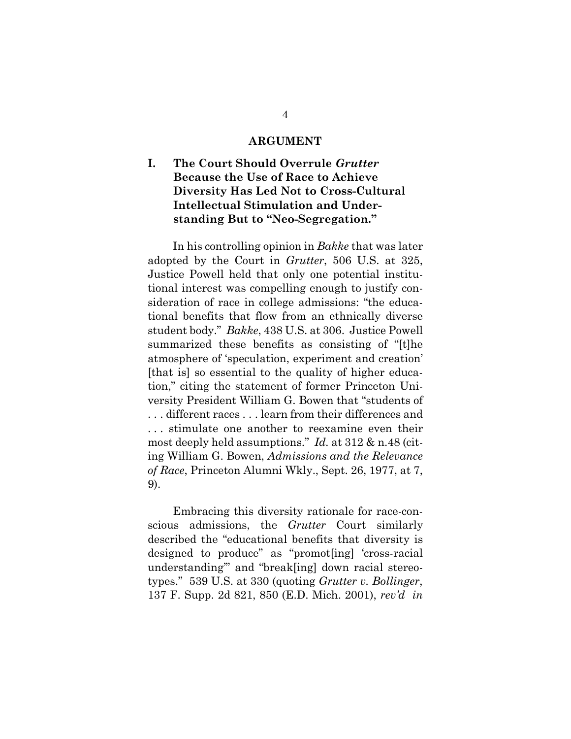#### **ARGUMENT**

## <span id="page-11-1"></span><span id="page-11-0"></span>**I. The Court Should Overrule** *Grutter* **Because the Use of Race to Achieve Diversity Has Led Not to Cross-Cultural Intellectual Stimulation and Understanding But to "Neo-Segregation."**

In his controlling opinion in *Bakke* that was later adopted by the Court in *Grutter*, 506 U.S. at 325, Justice Powell held that only one potential institutional interest was compelling enough to justify consideration of race in college admissions: "the educational benefits that flow from an ethnically diverse student body." *Bakke*, 438 U.S. at 306. Justice Powell summarized these benefits as consisting of "[t]he atmosphere of 'speculation, experiment and creation' [that is] so essential to the quality of higher education," citing the statement of former Princeton University President William G. Bowen that "students of . . . different races . . . learn from their differences and . . . stimulate one another to reexamine even their most deeply held assumptions." *Id.* at 312 & n.48 (citing William G. Bowen, *Admissions and the Relevance of Race*, Princeton Alumni Wkly., Sept. 26, 1977, at 7, 9).

Embracing this diversity rationale for race-conscious admissions, the *Grutter* Court similarly described the "educational benefits that diversity is designed to produce" as "promot[ing] 'cross-racial understanding'" and "break[ing] down racial stereotypes." 539 U.S. at 330 (quoting *Grutter v. Bollinger*, 137 F. Supp. 2d 821, 850 (E.D. Mich. 2001), *rev'd in*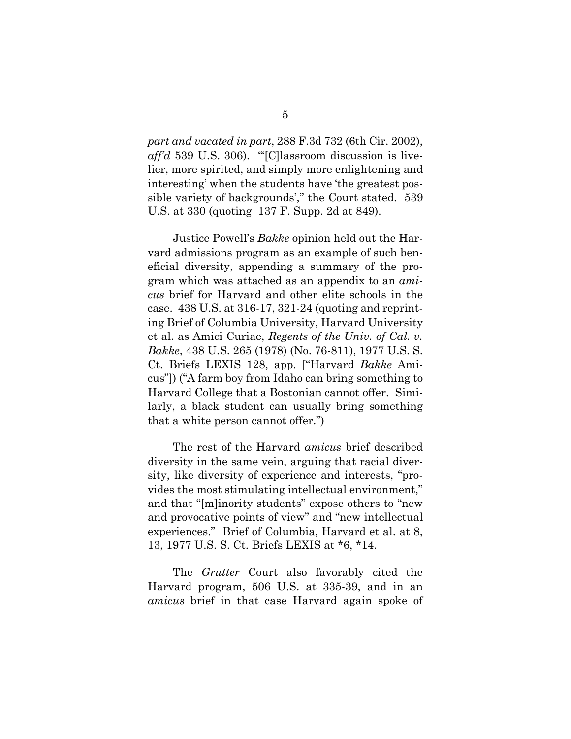*part and vacated in part*, 288 F.3d 732 (6th Cir. 2002), *aff'd* 539 U.S. 306). "<sup>"</sup>[C]lassroom discussion is livelier, more spirited, and simply more enlightening and interesting' when the students have 'the greatest possible variety of backgrounds'," the Court stated. 539 U.S. at 330 (quoting 137 F. Supp. 2d at 849).

Justice Powell's *Bakke* opinion held out the Harvard admissions program as an example of such beneficial diversity, appending a summary of the program which was attached as an appendix to an *amicus* brief for Harvard and other elite schools in the case. 438 U.S. at 316-17, 321-24 (quoting and reprinting Brief of Columbia University, Harvard University et al. as Amici Curiae, *Regents of the Univ. of Cal. v. Bakke*, 438 U.S. 265 (1978) (No. 76-811), 1977 U.S. S. Ct. Briefs LEXIS 128, app. ["Harvard *Bakke* Amicus"]) ("A farm boy from Idaho can bring something to Harvard College that a Bostonian cannot offer. Similarly, a black student can usually bring something that a white person cannot offer.")

The rest of the Harvard *amicus* brief described diversity in the same vein, arguing that racial diversity, like diversity of experience and interests, "provides the most stimulating intellectual environment," and that "[m]inority students" expose others to "new and provocative points of view" and "new intellectual experiences." Brief of Columbia, Harvard et al. at 8, 13, 1977 U.S. S. Ct. Briefs LEXIS at \*6, \*14.

The *Grutter* Court also favorably cited the Harvard program, 506 U.S. at 335-39, and in an *amicus* brief in that case Harvard again spoke of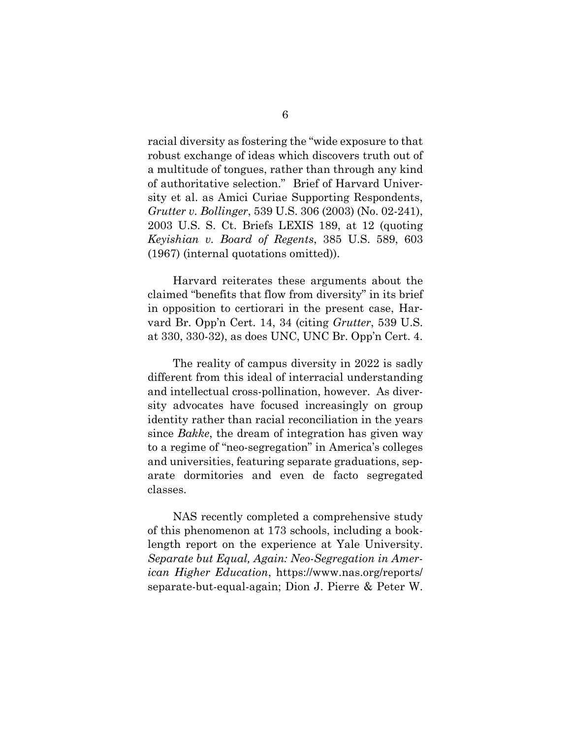racial diversity as fostering the "wide exposure to that robust exchange of ideas which discovers truth out of a multitude of tongues, rather than through any kind of authoritative selection." Brief of Harvard University et al. as Amici Curiae Supporting Respondents, *Grutter v. Bollinger*, 539 U.S. 306 (2003) (No. 02-241), 2003 U.S. S. Ct. Briefs LEXIS 189, at 12 (quoting *Keyishian v. Board of Regents*, 385 U.S. 589, 603 (1967) (internal quotations omitted)).

Harvard reiterates these arguments about the claimed "benefits that flow from diversity" in its brief in opposition to certiorari in the present case, Harvard Br. Opp'n Cert. 14, 34 (citing *Grutter*, 539 U.S. at 330, 330-32), as does UNC, UNC Br. Opp'n Cert. 4.

The reality of campus diversity in 2022 is sadly different from this ideal of interracial understanding and intellectual cross-pollination, however. As diversity advocates have focused increasingly on group identity rather than racial reconciliation in the years since *Bakke*, the dream of integration has given way to a regime of "neo-segregation" in America's colleges and universities, featuring separate graduations, separate dormitories and even de facto segregated classes.

NAS recently completed a comprehensive study of this phenomenon at 173 schools, including a booklength report on the experience at Yale University. *Separate but Equal, Again: Neo-Segregation in American Higher Education*, https://www.nas.org/reports/ separate-but-equal-again; Dion J. Pierre & Peter W.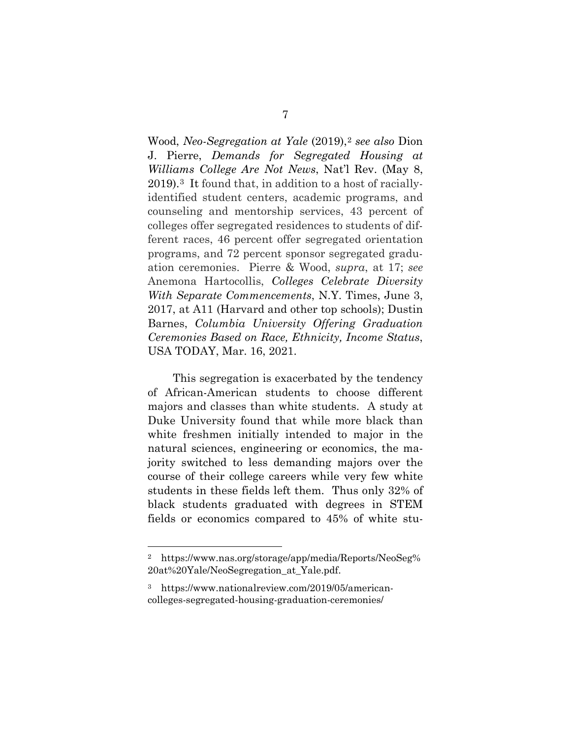Wood, *Neo-Segregation at Yale* (2019),[2](#page-14-0) *see also* Dion J. Pierre, *Demands for Segregated Housing at Williams College Are Not News*, Nat'l Rev. (May 8, 2019).[3](#page-14-1) It found that, in addition to a host of raciallyidentified student centers, academic programs, and counseling and mentorship services, 43 percent of colleges offer segregated residences to students of different races, 46 percent offer segregated orientation programs, and 72 percent sponsor segregated graduation ceremonies. Pierre & Wood, *supra*, at 17; *see* Anemona Hartocollis, *Colleges Celebrate Diversity With Separate Commencements*, N.Y. Times, June 3, 2017, at A11 (Harvard and other top schools); Dustin Barnes, *Columbia University Offering Graduation Ceremonies Based on Race, Ethnicity, Income Status*, USA TODAY, Mar. 16, 2021.

This segregation is exacerbated by the tendency of African-American students to choose different majors and classes than white students. A study at Duke University found that while more black than white freshmen initially intended to major in the natural sciences, engineering or economics, the majority switched to less demanding majors over the course of their college careers while very few white students in these fields left them. Thus only 32% of black students graduated with degrees in STEM fields or economics compared to 45% of white stu-

<span id="page-14-0"></span><sup>2</sup> https://www.nas.org/storage/app/media/Reports/NeoSeg% 20at%20Yale/NeoSegregation\_at\_Yale.pdf.

<span id="page-14-1"></span><sup>3</sup> https://www.nationalreview.com/2019/05/americancolleges-segregated-housing-graduation-ceremonies/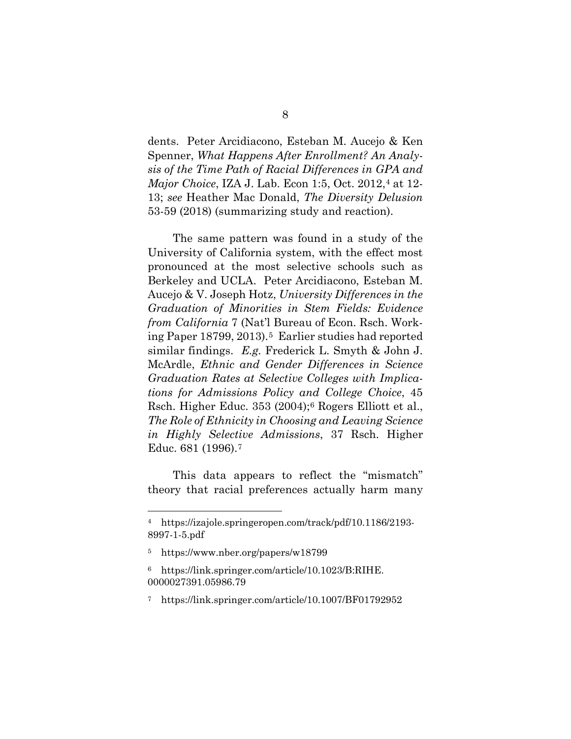dents. Peter Arcidiacono, Esteban M. Aucejo & Ken Spenner, *What Happens After Enrollment? An Analysis of the Time Path of Racial Differences in GPA and Major Choice*, IZA J. Lab. Econ 1:5, Oct. 2012,<sup>[4](#page-15-0)</sup> at 12-13; *see* Heather Mac Donald, *The Diversity Delusion* 53-59 (2018) (summarizing study and reaction).

The same pattern was found in a study of the University of California system, with the effect most pronounced at the most selective schools such as Berkeley and UCLA. Peter Arcidiacono, Esteban M. Aucejo & V. Joseph Hotz, *University Differences in the Graduation of Minorities in Stem Fields: Evidence from California* 7 (Nat'l Bureau of Econ. Rsch. Working Paper 18799, 2013).[5](#page-15-1) Earlier studies had reported similar findings. *E.g.* Frederick L. Smyth & John J. McArdle, *Ethnic and Gender Differences in Science Graduation Rates at Selective Colleges with Implications for Admissions Policy and College Choice*, 45 Rsch. Higher Educ. 353 (2004);[6](#page-15-2) Rogers Elliott et al., *The Role of Ethnicity in Choosing and Leaving Science in Highly Selective Admissions*, 37 Rsch. Higher Educ. 681 (1996).[7](#page-15-3)

This data appears to reflect the "mismatch" theory that racial preferences actually harm many

<span id="page-15-0"></span><sup>4</sup> https://izajole.springeropen.com/track/pdf/10.1186/2193- 8997-1-5.pdf

<span id="page-15-1"></span><sup>5</sup> https://www.nber.org/papers/w18799

<span id="page-15-2"></span><sup>6</sup> https://link.springer.com/article/10.1023/B:RIHE. 0000027391.05986.79

<span id="page-15-3"></span><sup>7</sup> https://link.springer.com/article/10.1007/BF01792952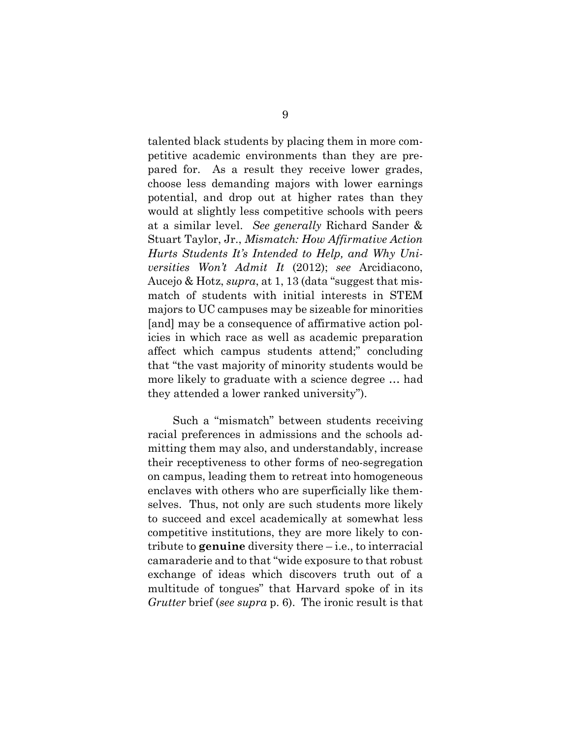talented black students by placing them in more competitive academic environments than they are prepared for. As a result they receive lower grades, choose less demanding majors with lower earnings potential, and drop out at higher rates than they would at slightly less competitive schools with peers at a similar level. *See generally* Richard Sander & Stuart Taylor, Jr., *Mismatch: How Affirmative Action Hurts Students It's Intended to Help, and Why Universities Won't Admit It* (2012); *see* Arcidiacono, Aucejo & Hotz, *supra*, at 1, 13 (data "suggest that mismatch of students with initial interests in STEM majors to UC campuses may be sizeable for minorities [and] may be a consequence of affirmative action policies in which race as well as academic preparation affect which campus students attend;" concluding that "the vast majority of minority students would be more likely to graduate with a science degree … had they attended a lower ranked university").

Such a "mismatch" between students receiving racial preferences in admissions and the schools admitting them may also, and understandably, increase their receptiveness to other forms of neo-segregation on campus, leading them to retreat into homogeneous enclaves with others who are superficially like themselves. Thus, not only are such students more likely to succeed and excel academically at somewhat less competitive institutions, they are more likely to contribute to **genuine** diversity there – i.e., to interracial camaraderie and to that "wide exposure to that robust exchange of ideas which discovers truth out of a multitude of tongues" that Harvard spoke of in its *Grutter* brief (*see supra* p. 6). The ironic result is that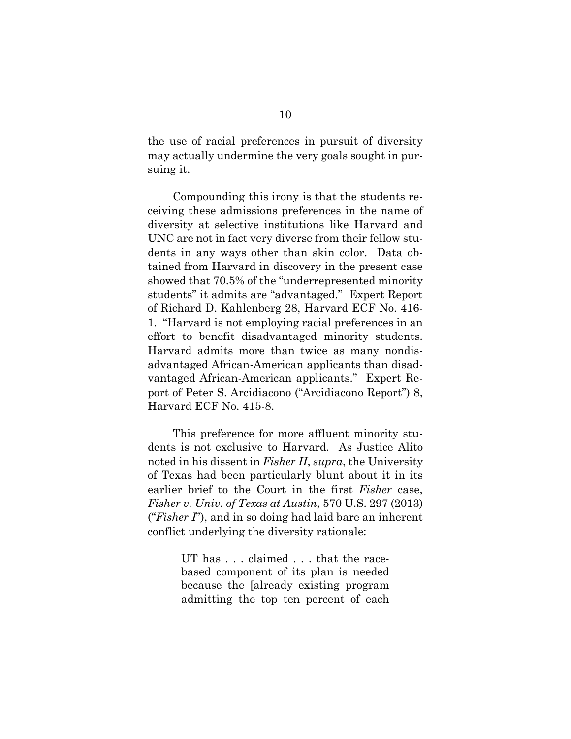the use of racial preferences in pursuit of diversity may actually undermine the very goals sought in pursuing it.

Compounding this irony is that the students receiving these admissions preferences in the name of diversity at selective institutions like Harvard and UNC are not in fact very diverse from their fellow students in any ways other than skin color. Data obtained from Harvard in discovery in the present case showed that 70.5% of the "underrepresented minority students" it admits are "advantaged." Expert Report of Richard D. Kahlenberg 28, Harvard ECF No. 416- 1. "Harvard is not employing racial preferences in an effort to benefit disadvantaged minority students. Harvard admits more than twice as many nondisadvantaged African-American applicants than disadvantaged African-American applicants." Expert Report of Peter S. Arcidiacono ("Arcidiacono Report") 8, Harvard ECF No. 415-8.

<span id="page-17-0"></span>This preference for more affluent minority students is not exclusive to Harvard. As Justice Alito noted in his dissent in *Fisher II*, *supra*, the University of Texas had been particularly blunt about it in its earlier brief to the Court in the first *Fisher* case, *Fisher v. Univ. of Texas at Austin*, 570 U.S. 297 (2013) ("*Fisher I*"), and in so doing had laid bare an inherent conflict underlying the diversity rationale:

> UT has . . . claimed . . . that the racebased component of its plan is needed because the [already existing program admitting the top ten percent of each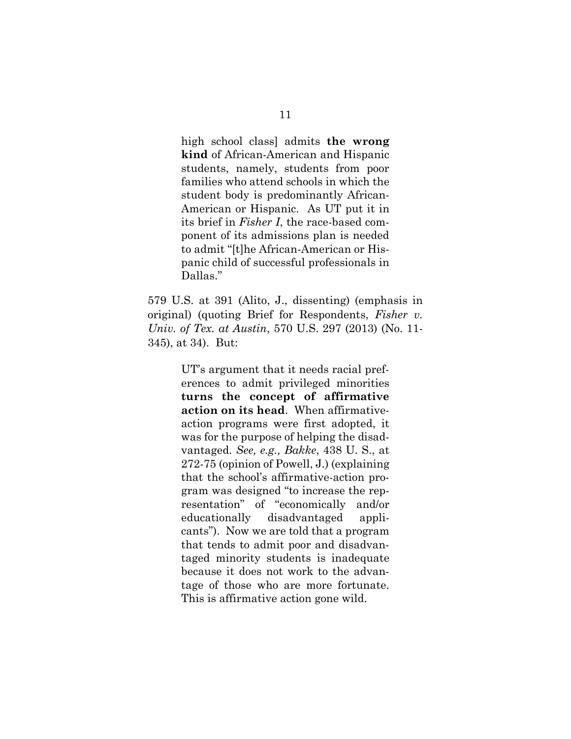high school class] admits **the wrong kind** of African-American and Hispanic students, namely, students from poor families who attend schools in which the student body is predominantly African-American or Hispanic. As UT put it in its brief in *Fisher I*, the race-based component of its admissions plan is needed to admit "[t]he African-American or Hispanic child of successful professionals in Dallas."

579 U.S. at 391 (Alito, J., dissenting) (emphasis in original) (quoting Brief for Respondents, *Fisher v. Univ. of Tex. at Austin*, 570 U.S. 297 (2013) (No. 11- 345), at 34). But:

> UT's argument that it needs racial preferences to admit privileged minorities **turns the concept of affirmative action on its head**. When affirmativeaction programs were first adopted, it was for the purpose of helping the disadvantaged. *See, e.g., Bakke*, 438 U. S., at 272-75 (opinion of Powell, J.) (explaining that the school's affirmative-action program was designed "to increase the representation" of "economically and/or educationally disadvantaged applicants"). Now we are told that a program that tends to admit poor and disadvantaged minority students is inadequate because it does not work to the advantage of those who are more fortunate. This is affirmative action gone wild.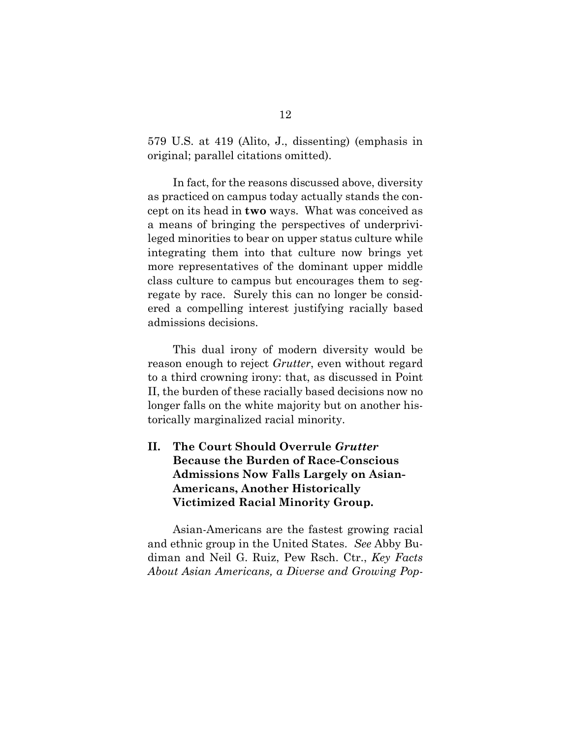579 U.S. at 419 (Alito, J., dissenting) (emphasis in original; parallel citations omitted).

In fact, for the reasons discussed above, diversity as practiced on campus today actually stands the concept on its head in **two** ways. What was conceived as a means of bringing the perspectives of underprivileged minorities to bear on upper status culture while integrating them into that culture now brings yet more representatives of the dominant upper middle class culture to campus but encourages them to segregate by race. Surely this can no longer be considered a compelling interest justifying racially based admissions decisions.

This dual irony of modern diversity would be reason enough to reject *Grutter*, even without regard to a third crowning irony: that, as discussed in Point II, the burden of these racially based decisions now no longer falls on the white majority but on another historically marginalized racial minority.

## <span id="page-19-0"></span>**II. The Court Should Overrule** *Grutter* **Because the Burden of Race-Conscious Admissions Now Falls Largely on Asian-Americans, Another Historically Victimized Racial Minority Group.**

Asian-Americans are the fastest growing racial and ethnic group in the United States. *See* Abby Budiman and Neil G. Ruiz, Pew Rsch. Ctr., *Key Facts About Asian Americans, a Diverse and Growing Pop-*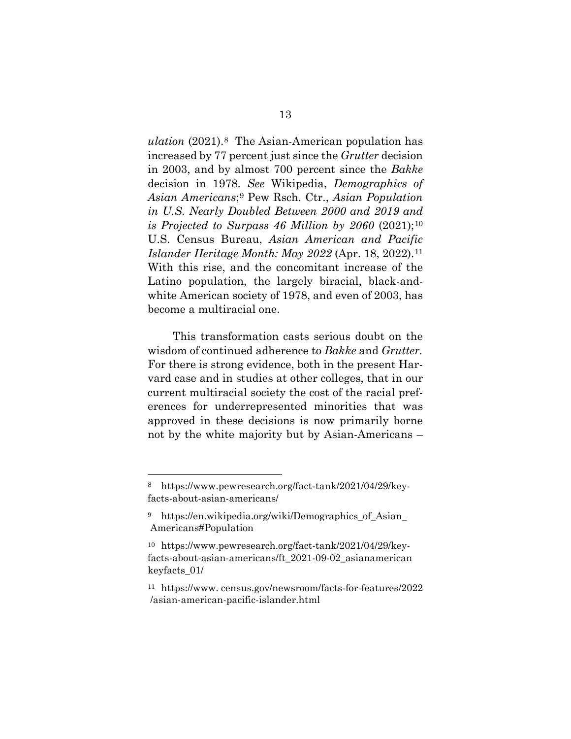*ulation* (2021).[8](#page-20-0) The Asian-American population has increased by 77 percent just since the *Grutter* decision in 2003, and by almost 700 percent since the *Bakke* decision in 1978. *See* Wikipedia, *Demographics of Asian Americans*;[9](#page-20-1) Pew Rsch. Ctr., *Asian Population in U.S. Nearly Doubled Between 2000 and 2019 and is Projected to Surpass 46 Million by 2060* (2021);[10](#page-20-2) U.S. Census Bureau, *Asian American and Pacific Islander Heritage Month: May 2022* (Apr. 18, 2022).[11](#page-20-3)  With this rise, and the concomitant increase of the Latino population, the largely biracial, black-andwhite American society of 1978, and even of 2003, has become a multiracial one.

This transformation casts serious doubt on the wisdom of continued adherence to *Bakke* and *Grutter.*  For there is strong evidence, both in the present Harvard case and in studies at other colleges, that in our current multiracial society the cost of the racial preferences for underrepresented minorities that was approved in these decisions is now primarily borne not by the white majority but by Asian-Americans –

<span id="page-20-0"></span><sup>8</sup> https://www.pewresearch.org/fact-tank/2021/04/29/keyfacts-about-asian-americans/

<span id="page-20-1"></span><sup>9</sup> https://en.wikipedia.org/wiki/Demographics\_of\_Asian\_ Americans#Population

<span id="page-20-2"></span><sup>10</sup> https://www.pewresearch.org/fact-tank/2021/04/29/keyfacts-about-asian-americans/ft\_2021-09-02\_asianamerican keyfacts\_01/

<span id="page-20-3"></span><sup>11</sup> https://www. census.gov/newsroom/facts-for-features/2022 /asian-american-pacific-islander.html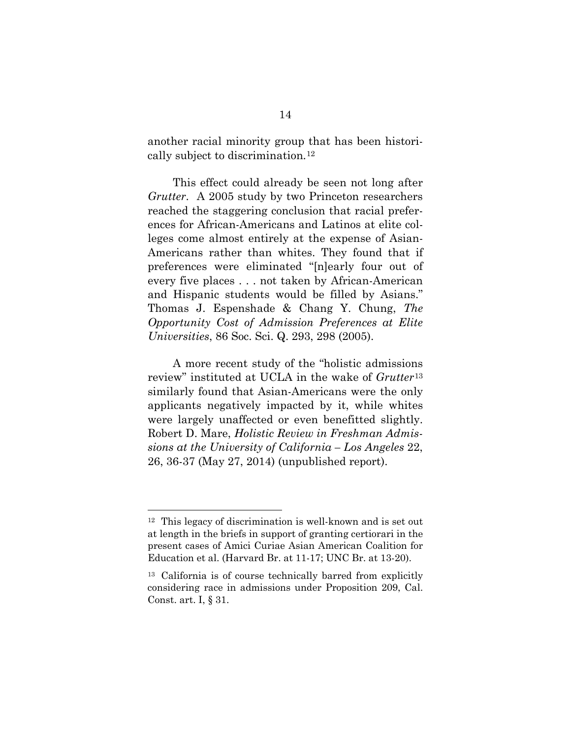another racial minority group that has been historically subject to discrimination.[12](#page-21-0)

This effect could already be seen not long after *Grutter*. A 2005 study by two Princeton researchers reached the staggering conclusion that racial preferences for African-Americans and Latinos at elite colleges come almost entirely at the expense of Asian-Americans rather than whites. They found that if preferences were eliminated "[n]early four out of every five places . . . not taken by African-American and Hispanic students would be filled by Asians." Thomas J. Espenshade & Chang Y. Chung, *The Opportunity Cost of Admission Preferences at Elite Universities*, 86 Soc. Sci. Q. 293, 298 (2005).

A more recent study of the "holistic admissions review" instituted at UCLA in the wake of *Grutter*[13](#page-21-1) similarly found that Asian-Americans were the only applicants negatively impacted by it, while whites were largely unaffected or even benefitted slightly. Robert D. Mare, *Holistic Review in Freshman Admissions at the University of California – Los Angeles* 22, 26, 36-37 (May 27, 2014) (unpublished report).

<span id="page-21-0"></span><sup>12</sup> This legacy of discrimination is well-known and is set out at length in the briefs in support of granting certiorari in the present cases of Amici Curiae Asian American Coalition for Education et al. (Harvard Br. at 11-17; UNC Br. at 13-20).

<span id="page-21-1"></span><sup>13</sup> California is of course technically barred from explicitly considering race in admissions under Proposition 209, Cal. Const. art. I, § 31.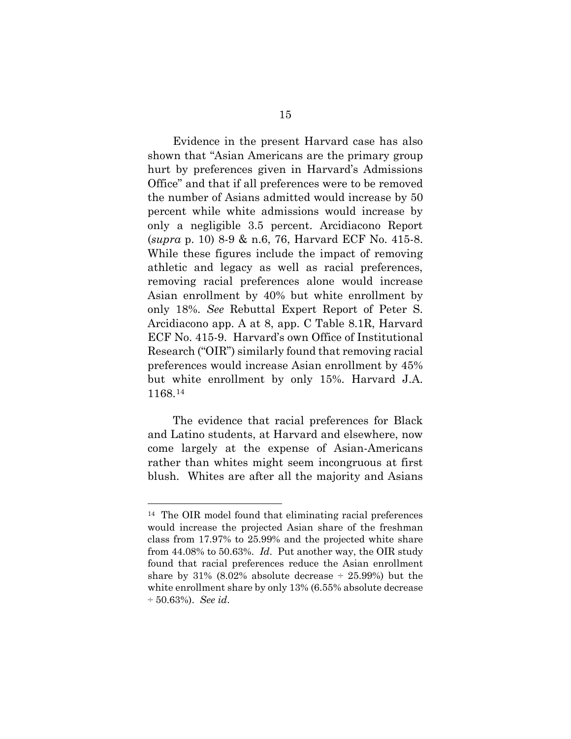Evidence in the present Harvard case has also shown that "Asian Americans are the primary group hurt by preferences given in Harvard's Admissions Office" and that if all preferences were to be removed the number of Asians admitted would increase by 50 percent while white admissions would increase by only a negligible 3.5 percent. Arcidiacono Report (*supra* p. [10\)](#page-17-0) 8-9 & n.6, 76, Harvard ECF No. 415-8. While these figures include the impact of removing athletic and legacy as well as racial preferences, removing racial preferences alone would increase Asian enrollment by 40% but white enrollment by only 18%. *See* Rebuttal Expert Report of Peter S. Arcidiacono app. A at 8, app. C Table 8.1R, Harvard ECF No. 415-9. Harvard's own Office of Institutional Research ("OIR") similarly found that removing racial preferences would increase Asian enrollment by 45% but white enrollment by only 15%. Harvard J.A. 1168.[14](#page-22-0)

The evidence that racial preferences for Black and Latino students, at Harvard and elsewhere, now come largely at the expense of Asian-Americans rather than whites might seem incongruous at first blush. Whites are after all the majority and Asians

<span id="page-22-0"></span><sup>14</sup> The OIR model found that eliminating racial preferences would increase the projected Asian share of the freshman class from 17.97% to 25.99% and the projected white share from 44.08% to 50.63%. *Id*. Put another way, the OIR study found that racial preferences reduce the Asian enrollment share by  $31\%$  (8.02% absolute decrease  $\div$  25.99%) but the white enrollment share by only 13% (6.55% absolute decrease ÷ 50.63%). *See id*.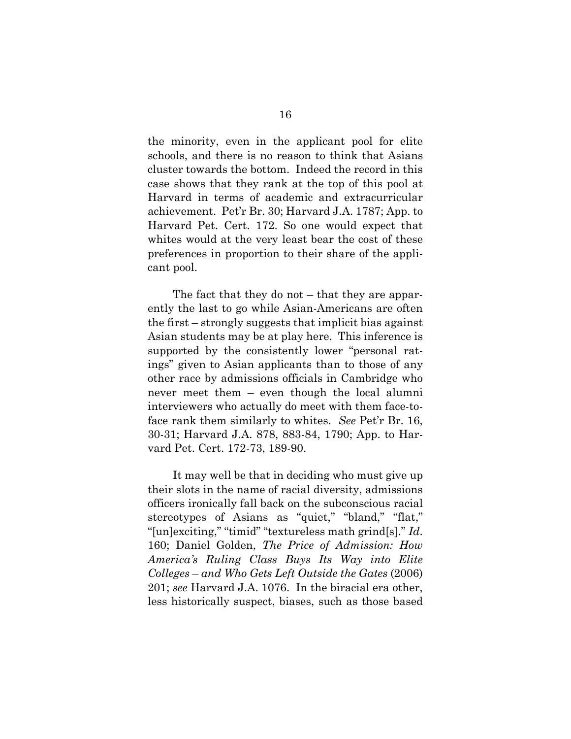the minority, even in the applicant pool for elite schools, and there is no reason to think that Asians cluster towards the bottom. Indeed the record in this case shows that they rank at the top of this pool at Harvard in terms of academic and extracurricular achievement. Pet'r Br. 30; Harvard J.A. 1787; App. to Harvard Pet. Cert. 172. So one would expect that whites would at the very least bear the cost of these preferences in proportion to their share of the applicant pool.

The fact that they do not – that they are apparently the last to go while Asian-Americans are often the first – strongly suggests that implicit bias against Asian students may be at play here. This inference is supported by the consistently lower "personal ratings" given to Asian applicants than to those of any other race by admissions officials in Cambridge who never meet them – even though the local alumni interviewers who actually do meet with them face-toface rank them similarly to whites. *See* Pet'r Br. 16, 30-31; Harvard J.A. 878, 883-84, 1790; App. to Harvard Pet. Cert. 172-73, 189-90.

It may well be that in deciding who must give up their slots in the name of racial diversity, admissions officers ironically fall back on the subconscious racial stereotypes of Asians as "quiet," "bland," "flat," "[un]exciting," "timid" "textureless math grind[s]." *Id*. 160; Daniel Golden, *The Price of Admission: How America's Ruling Class Buys Its Way into Elite Colleges* – *and Who Gets Left Outside the Gates* (2006) 201; *see* Harvard J.A. 1076. In the biracial era other, less historically suspect, biases, such as those based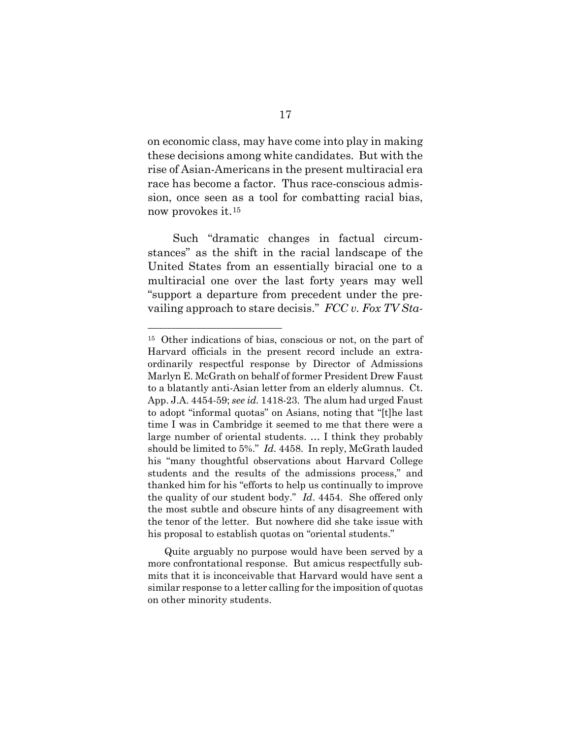on economic class, may have come into play in making these decisions among white candidates. But with the rise of Asian-Americans in the present multiracial era race has become a factor. Thus race-conscious admission, once seen as a tool for combatting racial bias, now provokes it.[15](#page-24-0)

<span id="page-24-1"></span>Such "dramatic changes in factual circumstances" as the shift in the racial landscape of the United States from an essentially biracial one to a multiracial one over the last forty years may well "support a departure from precedent under the prevailing approach to stare decisis." *FCC v. Fox TV Sta-*

<span id="page-24-0"></span><sup>15</sup> Other indications of bias, conscious or not, on the part of Harvard officials in the present record include an extraordinarily respectful response by Director of Admissions Marlyn E. McGrath on behalf of former President Drew Faust to a blatantly anti-Asian letter from an elderly alumnus. Ct. App. J.A. 4454-59; *see id.* 1418-23. The alum had urged Faust to adopt "informal quotas" on Asians, noting that "[t]he last time I was in Cambridge it seemed to me that there were a large number of oriental students. … I think they probably should be limited to 5%." *Id.* 4458. In reply, McGrath lauded his "many thoughtful observations about Harvard College students and the results of the admissions process," and thanked him for his "efforts to help us continually to improve the quality of our student body." *Id*. 4454. She offered only the most subtle and obscure hints of any disagreement with the tenor of the letter. But nowhere did she take issue with his proposal to establish quotas on "oriental students."

Quite arguably no purpose would have been served by a more confrontational response. But amicus respectfully submits that it is inconceivable that Harvard would have sent a similar response to a letter calling for the imposition of quotas on other minority students.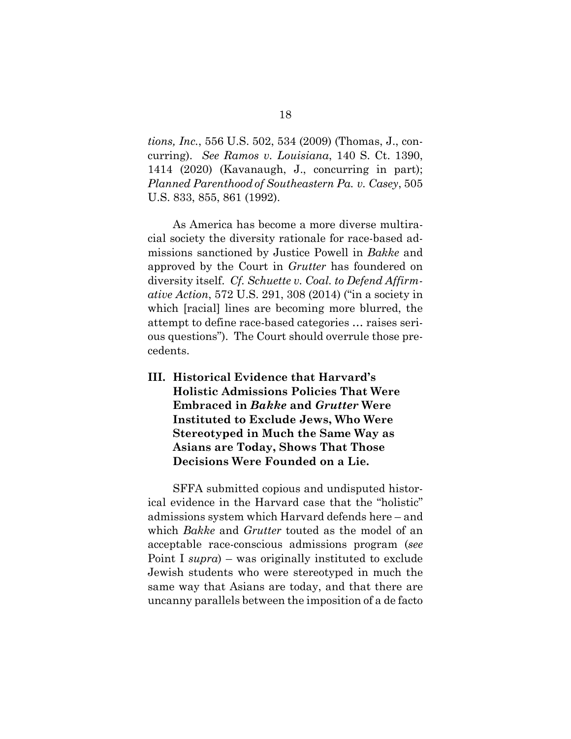*tions, Inc.*, 556 U.S. 502, 534 (2009) (Thomas, J., concurring). *See Ramos v. Louisiana*, 140 S. Ct. 1390, 1414 (2020) (Kavanaugh, J., concurring in part); *Planned Parenthood of Southeastern Pa. v. Casey*, 505 U.S. 833, 855, 861 (1992).

As America has become a more diverse multiracial society the diversity rationale for race-based admissions sanctioned by Justice Powell in *Bakke* and approved by the Court in *Grutter* has foundered on diversity itself. *Cf. Schuette v. Coal. to Defend Affirmative Action*, 572 U.S. 291, 308 (2014) ("in a society in which [racial] lines are becoming more blurred, the attempt to define race-based categories … raises serious questions"). The Court should overrule those precedents.

<span id="page-25-0"></span>**III. Historical Evidence that Harvard's Holistic Admissions Policies That Were Embraced in** *Bakke* **and** *Grutter* **Were Instituted to Exclude Jews, Who Were Stereotyped in Much the Same Way as Asians are Today, Shows That Those Decisions Were Founded on a Lie.** 

SFFA submitted copious and undisputed historical evidence in the Harvard case that the "holistic" admissions system which Harvard defends here – and which *Bakke* and *Grutter* touted as the model of an acceptable race-conscious admissions program (*see* Point I *supra*) – was originally instituted to exclude Jewish students who were stereotyped in much the same way that Asians are today, and that there are uncanny parallels between the imposition of a de facto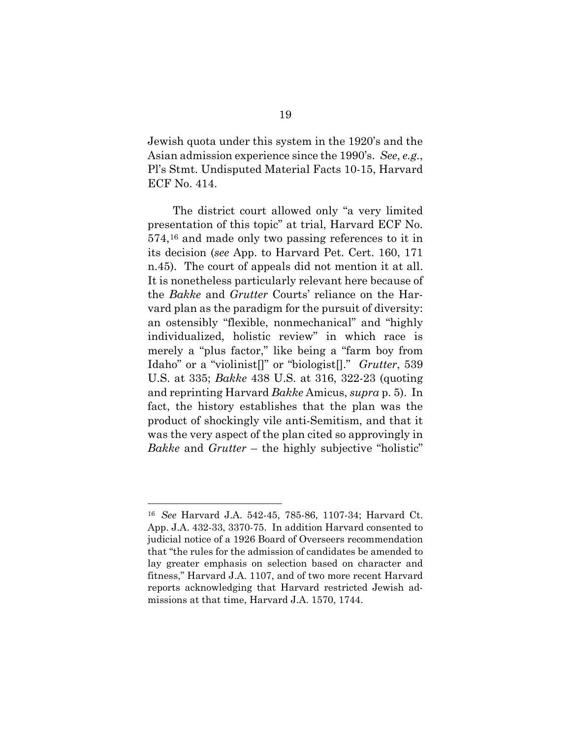Jewish quota under this system in the 1920's and the Asian admission experience since the 1990's. *See*, *e.g.*, Pl's Stmt. Undisputed Material Facts 10-15, Harvard ECF No. 414.

The district court allowed only "a very limited presentation of this topic" at trial, Harvard ECF No. 574,[16](#page-26-0) and made only two passing references to it in its decision (*see* App. to Harvard Pet. Cert. 160, 171 n.45). The court of appeals did not mention it at all. It is nonetheless particularly relevant here because of the *Bakke* and *Grutter* Courts' reliance on the Harvard plan as the paradigm for the pursuit of diversity: an ostensibly "flexible, nonmechanical" and "highly individualized, holistic review" in which race is merely a "plus factor," like being a "farm boy from Idaho" or a "violinist[]" or "biologist[]." *Grutter*, 539 U.S. at 335; *Bakke* 438 U.S. at 316, 322-23 (quoting and reprinting Harvard *Bakke* Amicus, *supra* p. 5). In fact, the history establishes that the plan was the product of shockingly vile anti-Semitism, and that it was the very aspect of the plan cited so approvingly in *Bakke* and *Grutter* – the highly subjective "holistic"

<span id="page-26-0"></span><sup>16</sup> *See* Harvard J.A. 542-45, 785-86, 1107-34; Harvard Ct. App. J.A. 432-33, 3370-75. In addition Harvard consented to judicial notice of a 1926 Board of Overseers recommendation that "the rules for the admission of candidates be amended to lay greater emphasis on selection based on character and fitness," Harvard J.A. 1107, and of two more recent Harvard reports acknowledging that Harvard restricted Jewish admissions at that time, Harvard J.A. 1570, 1744.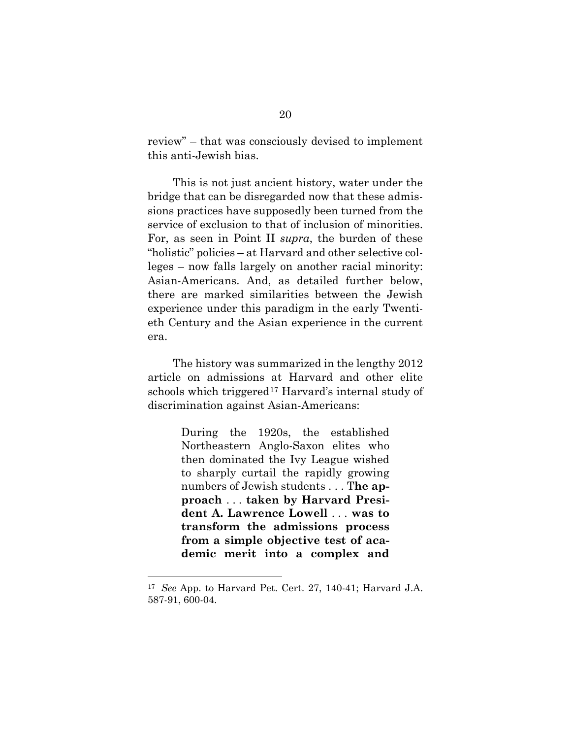review" – that was consciously devised to implement this anti-Jewish bias.

This is not just ancient history, water under the bridge that can be disregarded now that these admissions practices have supposedly been turned from the service of exclusion to that of inclusion of minorities. For, as seen in Point II *supra*, the burden of these "holistic" policies – at Harvard and other selective colleges – now falls largely on another racial minority: Asian-Americans. And, as detailed further below, there are marked similarities between the Jewish experience under this paradigm in the early Twentieth Century and the Asian experience in the current era.

The history was summarized in the lengthy 2012 article on admissions at Harvard and other elite schools which triggered<sup>[17](#page-27-0)</sup> Harvard's internal study of discrimination against Asian-Americans:

> During the 1920s, the established Northeastern Anglo-Saxon elites who then dominated the Ivy League wished to sharply curtail the rapidly growing numbers of Jewish students . . . T**he approach** . . . **taken by Harvard President A. Lawrence Lowell** . . . **was to transform the admissions process from a simple objective test of academic merit into a complex and**

<span id="page-27-0"></span><sup>17</sup> *See* App. to Harvard Pet. Cert. 27, 140-41; Harvard J.A. 587-91, 600-04.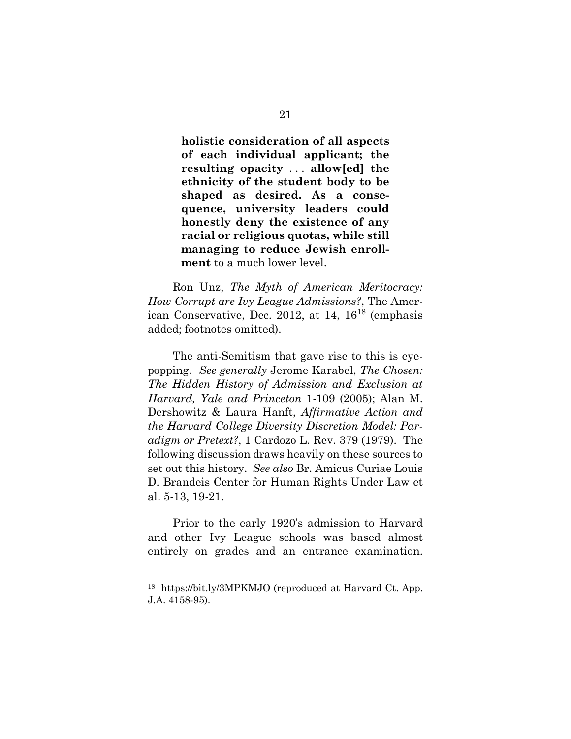**holistic consideration of all aspects of each individual applicant; the resulting opacity** . . . **allow[ed] the ethnicity of the student body to be shaped as desired. As a consequence, university leaders could honestly deny the existence of any racial or religious quotas, while still managing to reduce Jewish enrollment** to a much lower level.

Ron Unz, *The Myth of American Meritocracy: How Corrupt are Ivy League Admissions?*, The American Conservative, Dec. 2012, at  $14$ ,  $16^{18}$  $16^{18}$  $16^{18}$  (emphasis added; footnotes omitted).

The anti-Semitism that gave rise to this is eyepopping. *See generally* Jerome Karabel, *The Chosen: The Hidden History of Admission and Exclusion at Harvard, Yale and Princeton* 1-109 (2005); Alan M. Dershowitz & Laura Hanft, *Affirmative Action and the Harvard College Diversity Discretion Model: Paradigm or Pretext?*, 1 Cardozo L. Rev. 379 (1979). The following discussion draws heavily on these sources to set out this history. *See also* Br. Amicus Curiae Louis D. Brandeis Center for Human Rights Under Law et al. 5-13, 19-21.

Prior to the early 1920's admission to Harvard and other Ivy League schools was based almost entirely on grades and an entrance examination.

<span id="page-28-0"></span><sup>18</sup> https://bit.ly/3MPKMJO (reproduced at Harvard Ct. App. J.A. 4158-95).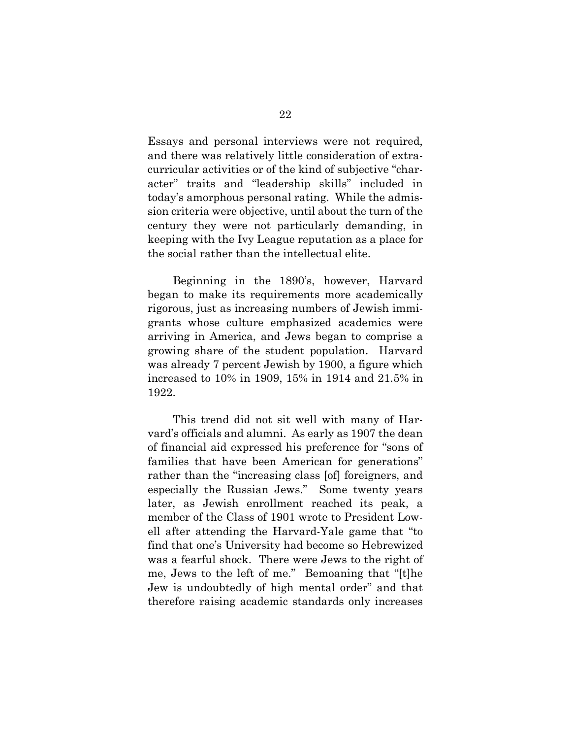Essays and personal interviews were not required, and there was relatively little consideration of extracurricular activities or of the kind of subjective "character" traits and "leadership skills" included in today's amorphous personal rating. While the admission criteria were objective, until about the turn of the century they were not particularly demanding, in keeping with the Ivy League reputation as a place for the social rather than the intellectual elite.

Beginning in the 1890's, however, Harvard began to make its requirements more academically rigorous, just as increasing numbers of Jewish immigrants whose culture emphasized academics were arriving in America, and Jews began to comprise a growing share of the student population. Harvard was already 7 percent Jewish by 1900, a figure which increased to 10% in 1909, 15% in 1914 and 21.5% in 1922.

This trend did not sit well with many of Harvard's officials and alumni. As early as 1907 the dean of financial aid expressed his preference for "sons of families that have been American for generations" rather than the "increasing class [of] foreigners, and especially the Russian Jews." Some twenty years later, as Jewish enrollment reached its peak, a member of the Class of 1901 wrote to President Lowell after attending the Harvard-Yale game that "to find that one's University had become so Hebrewized was a fearful shock. There were Jews to the right of me, Jews to the left of me." Bemoaning that "[t]he Jew is undoubtedly of high mental order" and that therefore raising academic standards only increases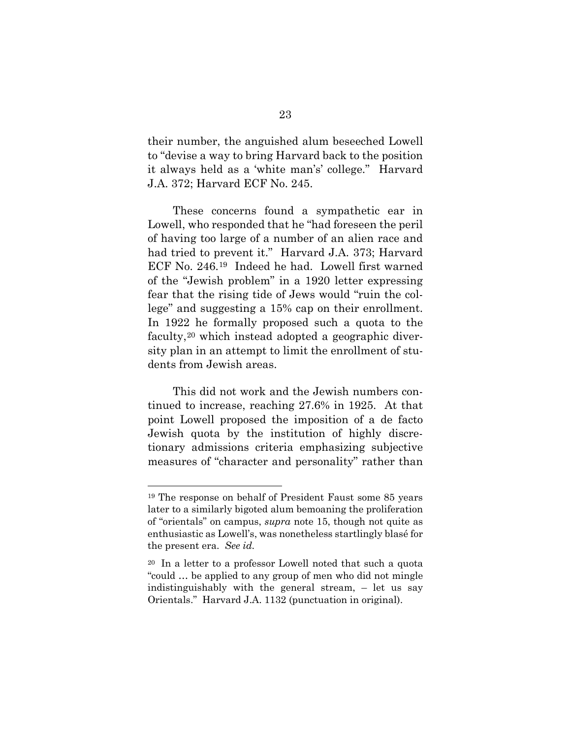their number, the anguished alum beseeched Lowell to "devise a way to bring Harvard back to the position it always held as a 'white man's' college." Harvard J.A. 372; Harvard ECF No. 245.

These concerns found a sympathetic ear in Lowell, who responded that he "had foreseen the peril of having too large of a number of an alien race and had tried to prevent it." Harvard J.A. 373; Harvard ECF No. 246.[19](#page-30-0) Indeed he had. Lowell first warned of the "Jewish problem" in a 1920 letter expressing fear that the rising tide of Jews would "ruin the college" and suggesting a 15% cap on their enrollment. In 1922 he formally proposed such a quota to the faculty,[20](#page-30-1) which instead adopted a geographic diversity plan in an attempt to limit the enrollment of students from Jewish areas.

This did not work and the Jewish numbers continued to increase, reaching 27.6% in 1925. At that point Lowell proposed the imposition of a de facto Jewish quota by the institution of highly discretionary admissions criteria emphasizing subjective measures of "character and personality" rather than

<span id="page-30-0"></span><sup>19</sup> The response on behalf of President Faust some 85 years later to a similarly bigoted alum bemoaning the proliferation of "orientals" on campus, *supra* note [15,](#page-24-1) though not quite as enthusiastic as Lowell's, was nonetheless startlingly blasé for the present era. *See id.*

<span id="page-30-1"></span><sup>20</sup> In a letter to a professor Lowell noted that such a quota "could … be applied to any group of men who did not mingle indistinguishably with the general stream, – let us say Orientals." Harvard J.A. 1132 (punctuation in original).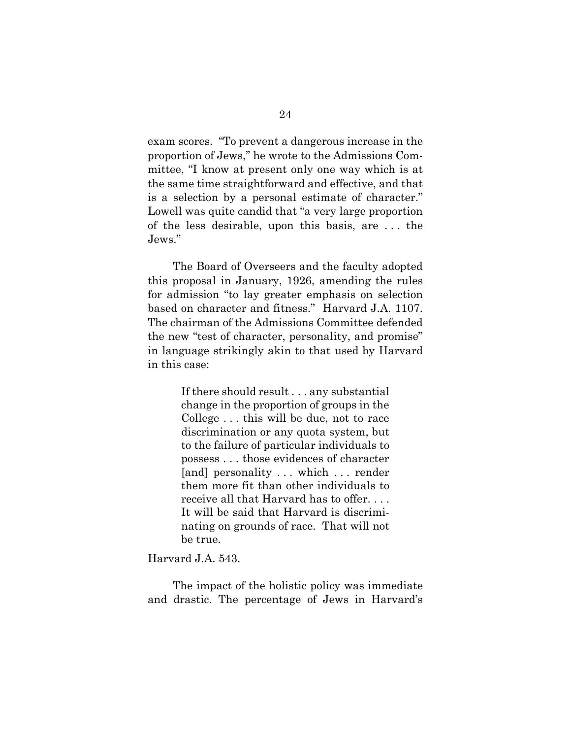exam scores. "To prevent a dangerous increase in the proportion of Jews," he wrote to the Admissions Committee, "I know at present only one way which is at the same time straightforward and effective, and that is a selection by a personal estimate of character." Lowell was quite candid that "a very large proportion of the less desirable, upon this basis, are . . . the Jews."

The Board of Overseers and the faculty adopted this proposal in January, 1926, amending the rules for admission "to lay greater emphasis on selection based on character and fitness." Harvard J.A. 1107. The chairman of the Admissions Committee defended the new "test of character, personality, and promise" in language strikingly akin to that used by Harvard in this case:

> If there should result . . . any substantial change in the proportion of groups in the College . . . this will be due, not to race discrimination or any quota system, but to the failure of particular individuals to possess . . . those evidences of character [and] personality . . . which . . . render them more fit than other individuals to receive all that Harvard has to offer. . . . It will be said that Harvard is discriminating on grounds of race. That will not be true.

### Harvard J.A. 543.

The impact of the holistic policy was immediate and drastic. The percentage of Jews in Harvard's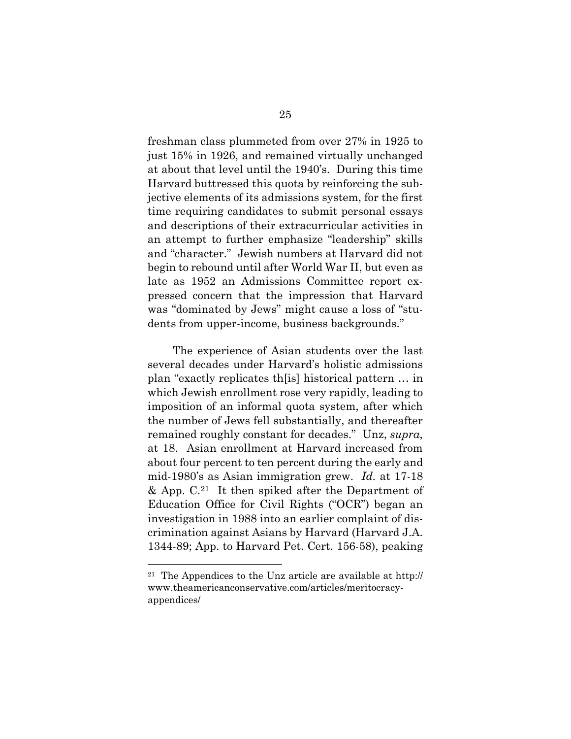freshman class plummeted from over 27% in 1925 to just 15% in 1926, and remained virtually unchanged at about that level until the 1940's. During this time Harvard buttressed this quota by reinforcing the subjective elements of its admissions system, for the first time requiring candidates to submit personal essays and descriptions of their extracurricular activities in an attempt to further emphasize "leadership" skills and "character." Jewish numbers at Harvard did not begin to rebound until after World War II, but even as late as 1952 an Admissions Committee report expressed concern that the impression that Harvard was "dominated by Jews" might cause a loss of "students from upper-income, business backgrounds."

The experience of Asian students over the last several decades under Harvard's holistic admissions plan "exactly replicates th[is] historical pattern … in which Jewish enrollment rose very rapidly, leading to imposition of an informal quota system, after which the number of Jews fell substantially, and thereafter remained roughly constant for decades." Unz, *supra*, at 18. Asian enrollment at Harvard increased from about four percent to ten percent during the early and mid-1980's as Asian immigration grew. *Id.* at 17-18  $\&$  App. C.<sup>21</sup> It then spiked after the Department of Education Office for Civil Rights ("OCR") began an investigation in 1988 into an earlier complaint of discrimination against Asians by Harvard (Harvard J.A. 1344-89; App. to Harvard Pet. Cert. 156-58), peaking

<span id="page-32-0"></span><sup>21</sup> The Appendices to the Unz article are available at http:// www.theamericanconservative.com/articles/meritocracyappendices/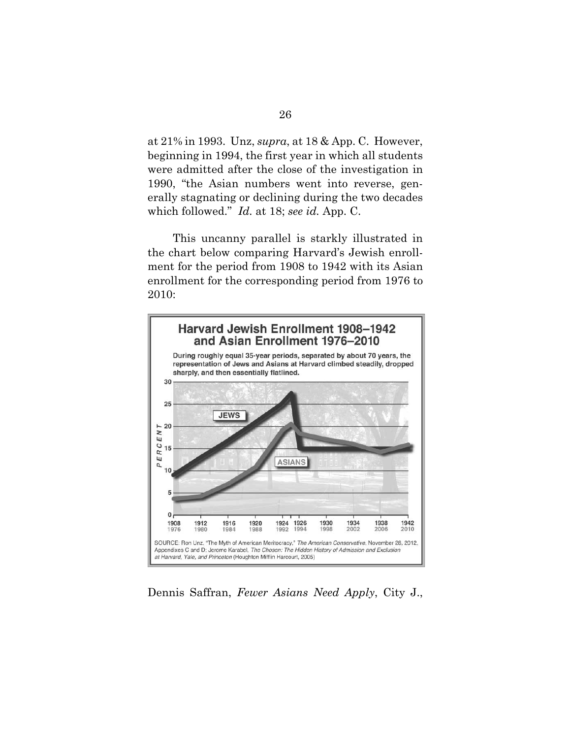at 21% in 1993. Unz, *supra*, at 18 & App. C. However, beginning in 1994, the first year in which all students were admitted after the close of the investigation in 1990, "the Asian numbers went into reverse, generally stagnating or declining during the two decades which followed." *Id.* at 18; *see id.* App. C.

This uncanny parallel is starkly illustrated in the chart below comparing Harvard's Jewish enrollment for the period from 1908 to 1942 with its Asian enrollment for the corresponding period from 1976 to 2010:



Dennis Saffran, *Fewer Asians Need Apply*, City J.,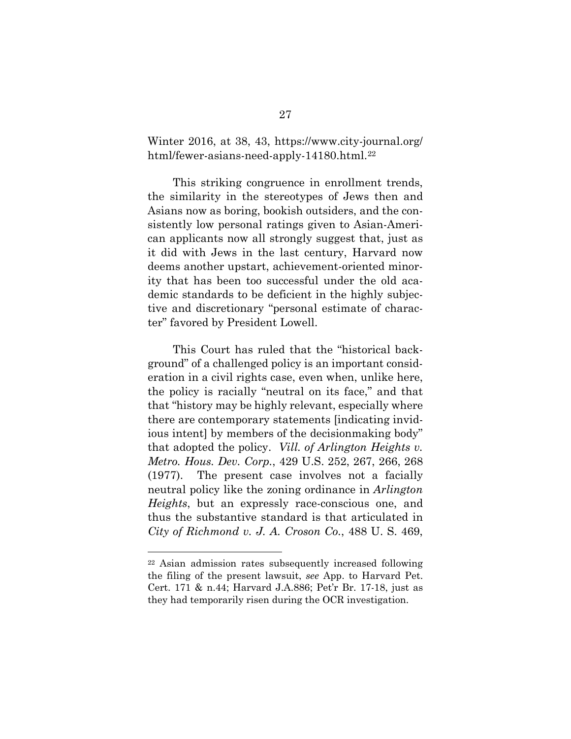Winter 2016, at 38, 43, https://www.city-journal.org/ html/fewer-asians-need-apply-14180.html.<sup>[22](#page-34-0)</sup>

This striking congruence in enrollment trends, the similarity in the stereotypes of Jews then and Asians now as boring, bookish outsiders, and the consistently low personal ratings given to Asian-American applicants now all strongly suggest that, just as it did with Jews in the last century, Harvard now deems another upstart, achievement-oriented minority that has been too successful under the old academic standards to be deficient in the highly subjective and discretionary "personal estimate of character" favored by President Lowell.

This Court has ruled that the "historical background" of a challenged policy is an important consideration in a civil rights case, even when, unlike here, the policy is racially "neutral on its face," and that that "history may be highly relevant, especially where there are contemporary statements [indicating invidious intent] by members of the decisionmaking body" that adopted the policy. *Vill. of Arlington Heights v. Metro. Hous. Dev. Corp.*, 429 U.S. 252, 267, 266, 268 (1977). The present case involves not a facially neutral policy like the zoning ordinance in *Arlington Heights*, but an expressly race-conscious one, and thus the substantive standard is that articulated in *City of Richmond v. J. A. Croson Co.*, 488 U. S. 469,

<span id="page-34-0"></span><sup>22</sup> Asian admission rates subsequently increased following the filing of the present lawsuit, *see* App. to Harvard Pet. Cert. 171 & n.44; Harvard J.A.886; Pet'r Br. 17-18, just as they had temporarily risen during the OCR investigation.